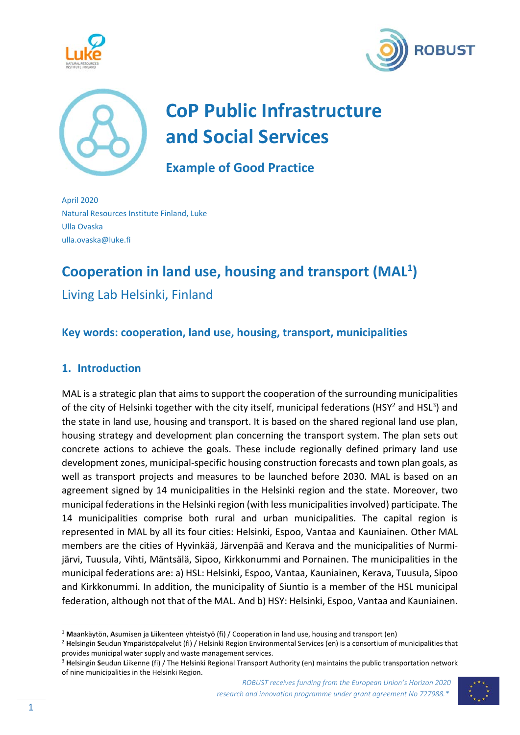





# **CoP Public Infrastructure and Social Services**

**Example of Good Practice** 

April 2020 Natural Resources Institute Finland, Luke Ulla Ovaska ulla.ovaska@luke.fi

## **Cooperation in land use, housing and transport (MAL1 )**

Living Lab Helsinki, Finland

## **Key words: cooperation, land use, housing, transport, municipalities**

## **1. Introduction**

MAL is a strategic plan that aims to support the cooperation of the surrounding municipalities of the city of Helsinki together with the city itself, municipal federations (HSY<sup>2</sup> and HSL<sup>3</sup>) and the state in land use, housing and transport. It is based on the shared regional land use plan, housing strategy and development plan concerning the transport system. The plan sets out concrete actions to achieve the goals. These include regionally defined primary land use development zones, municipal‐specific housing construction forecasts and town plan goals, as well as transport projects and measures to be launched before 2030. MAL is based on an agreement signed by 14 municipalities in the Helsinki region and the state. Moreover, two municipal federations in the Helsinki region (with less municipalities involved) participate. The 14 municipalities comprise both rural and urban municipalities. The capital region is represented in MAL by all its four cities: Helsinki, Espoo, Vantaa and Kauniainen. Other MAL members are the cities of Hyvinkää, Järvenpää and Kerava and the municipalities of Nurmi‐ järvi, Tuusula, Vihti, Mäntsälä, Sipoo, Kirkkonummi and Pornainen. The municipalities in the municipal federations are: a) HSL: Helsinki, Espoo, Vantaa, Kauniainen, Kerava, Tuusula, Sipoo and Kirkkonummi. In addition, the municipality of Siuntio is a member of the HSL municipal federation, although not that of the MAL. And b) HSY: Helsinki, Espoo, Vantaa and Kauniainen.



<sup>1</sup> **M**aankäytön, **A**sumisen ja **L**iikenteen yhteistyö (fi) / Cooperation in land use, housing and transport (en)

<sup>2</sup> **H**elsingin **S**eudun **Y**mpäristöpalvelut (fi) / Helsinki Region Environmental Services (en) is a consortium of municipalities that provides municipal water supply and waste management services.

<sup>3</sup> **H**elsingin **S**eudun **L**iikenne (fi) / The Helsinki Regional Transport Authority (en) maintains the public transportation network of nine municipalities in the Helsinki Region.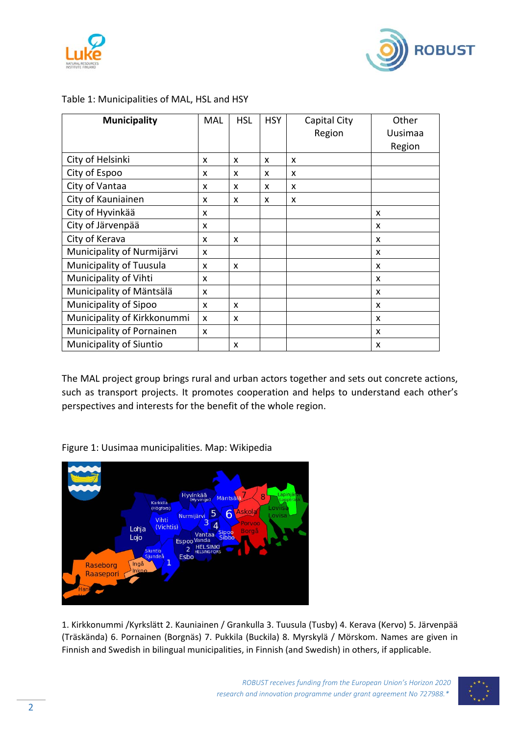



| <b>Municipality</b>            | MAL | <b>HSL</b> | <b>HSY</b> | Capital City | Other   |
|--------------------------------|-----|------------|------------|--------------|---------|
|                                |     |            |            | Region       | Uusimaa |
|                                |     |            |            |              | Region  |
| City of Helsinki               | X   | X          | x          | x            |         |
| City of Espoo                  | X   | X          | X          | X            |         |
| City of Vantaa                 | X   | X          | X          | X            |         |
| City of Kauniainen             | x   | x          | X          | x            |         |
| City of Hyvinkää               | x   |            |            |              | x       |
| City of Järvenpää              | x   |            |            |              | X       |
| City of Kerava                 | X   | X          |            |              | X       |
| Municipality of Nurmijärvi     | X   |            |            |              | X       |
| Municipality of Tuusula        | X   | X          |            |              | X       |
| Municipality of Vihti          | X   |            |            |              | X       |
| Municipality of Mäntsälä       | X   |            |            |              | x       |
| Municipality of Sipoo          | x   | x          |            |              | x       |
| Municipality of Kirkkonummi    | X   | X          |            |              | X       |
| Municipality of Pornainen      | X   |            |            |              | X       |
| <b>Municipality of Siuntio</b> |     | X          |            |              | X       |

#### Table 1: Municipalities of MAL, HSL and HSY

The MAL project group brings rural and urban actors together and sets out concrete actions, such as transport projects. It promotes cooperation and helps to understand each other's perspectives and interests for the benefit of the whole region.

Figure 1: Uusimaa municipalities. Map: Wikipedia



1. Kirkkonummi /Kyrkslätt 2. Kauniainen / Grankulla 3. Tuusula (Tusby) 4. Kerava (Kervo) 5. Järvenpää (Träskända) 6. Pornainen (Borgnäs) 7. Pukkila (Buckila) 8. Myrskylä / Mörskom. Names are given in Finnish and Swedish in bilingual municipalities, in Finnish (and Swedish) in others, if applicable.

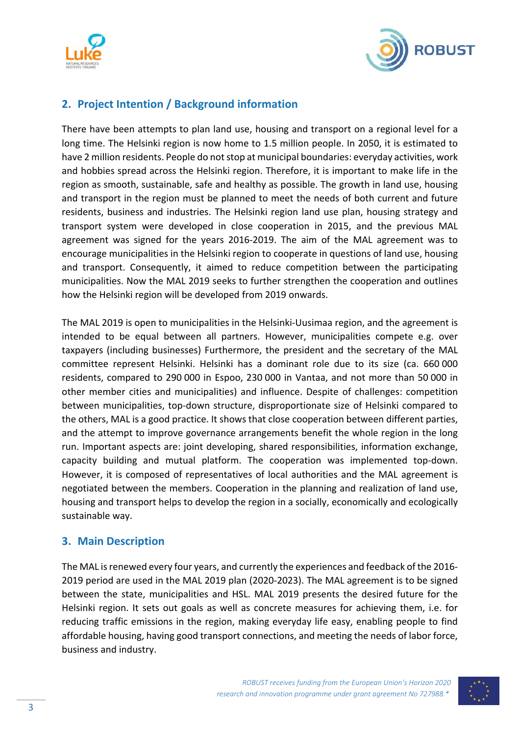



## **2. Project Intention / Background information**

There have been attempts to plan land use, housing and transport on a regional level for a long time. The Helsinki region is now home to 1.5 million people. In 2050, it is estimated to have 2 million residents. People do not stop at municipal boundaries: everyday activities, work and hobbies spread across the Helsinki region. Therefore, it is important to make life in the region as smooth, sustainable, safe and healthy as possible. The growth in land use, housing and transport in the region must be planned to meet the needs of both current and future residents, business and industries. The Helsinki region land use plan, housing strategy and transport system were developed in close cooperation in 2015, and the previous MAL agreement was signed for the years 2016‐2019. The aim of the MAL agreement was to encourage municipalities in the Helsinki region to cooperate in questions of land use, housing and transport. Consequently, it aimed to reduce competition between the participating municipalities. Now the MAL 2019 seeks to further strengthen the cooperation and outlines how the Helsinki region will be developed from 2019 onwards.

The MAL 2019 is open to municipalities in the Helsinki‐Uusimaa region, and the agreement is intended to be equal between all partners. However, municipalities compete e.g. over taxpayers (including businesses) Furthermore, the president and the secretary of the MAL committee represent Helsinki. Helsinki has a dominant role due to its size (ca. 660 000 residents, compared to 290 000 in Espoo, 230 000 in Vantaa, and not more than 50 000 in other member cities and municipalities) and influence. Despite of challenges: competition between municipalities, top-down structure, disproportionate size of Helsinki compared to the others, MAL is a good practice. It shows that close cooperation between different parties, and the attempt to improve governance arrangements benefit the whole region in the long run. Important aspects are: joint developing, shared responsibilities, information exchange, capacity building and mutual platform. The cooperation was implemented top‐down. However, it is composed of representatives of local authorities and the MAL agreement is negotiated between the members. Cooperation in the planning and realization of land use, housing and transport helps to develop the region in a socially, economically and ecologically sustainable way.

### **3. Main Description**

The MAL is renewed every four years, and currently the experiences and feedback of the 2016‐ 2019 period are used in the MAL 2019 plan (2020-2023). The MAL agreement is to be signed between the state, municipalities and HSL. MAL 2019 presents the desired future for the Helsinki region. It sets out goals as well as concrete measures for achieving them, i.e. for reducing traffic emissions in the region, making everyday life easy, enabling people to find affordable housing, having good transport connections, and meeting the needs of labor force, business and industry.

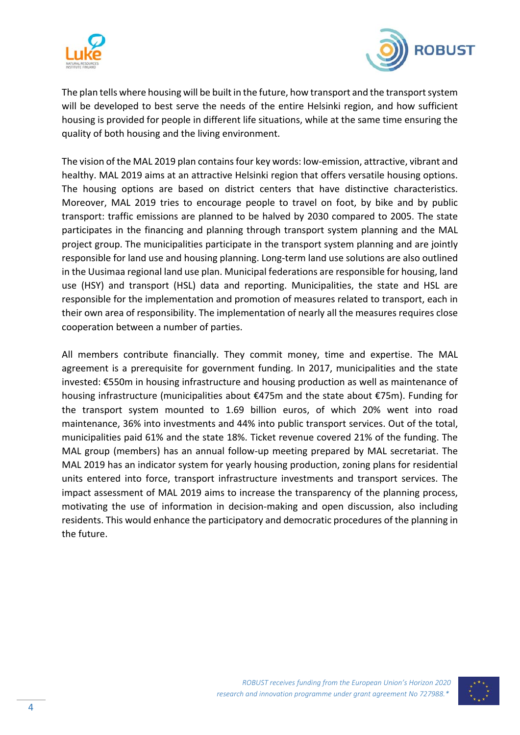



The plan tells where housing will be built in the future, how transport and the transport system will be developed to best serve the needs of the entire Helsinki region, and how sufficient housing is provided for people in different life situations, while at the same time ensuring the quality of both housing and the living environment.

The vision of the MAL 2019 plan contains four key words: low‐emission, attractive, vibrant and healthy. MAL 2019 aims at an attractive Helsinki region that offers versatile housing options. The housing options are based on district centers that have distinctive characteristics. Moreover, MAL 2019 tries to encourage people to travel on foot, by bike and by public transport: traffic emissions are planned to be halved by 2030 compared to 2005. The state participates in the financing and planning through transport system planning and the MAL project group. The municipalities participate in the transport system planning and are jointly responsible for land use and housing planning. Long‐term land use solutions are also outlined in the Uusimaa regional land use plan. Municipal federations are responsible for housing, land use (HSY) and transport (HSL) data and reporting. Municipalities, the state and HSL are responsible for the implementation and promotion of measures related to transport, each in their own area of responsibility. The implementation of nearly all the measures requires close cooperation between a number of parties.

All members contribute financially. They commit money, time and expertise. The MAL agreement is a prerequisite for government funding. In 2017, municipalities and the state invested: €550m in housing infrastructure and housing production as well as maintenance of housing infrastructure (municipalities about €475m and the state about €75m). Funding for the transport system mounted to 1.69 billion euros, of which 20% went into road maintenance, 36% into investments and 44% into public transport services. Out of the total, municipalities paid 61% and the state 18%. Ticket revenue covered 21% of the funding. The MAL group (members) has an annual follow-up meeting prepared by MAL secretariat. The MAL 2019 has an indicator system for yearly housing production, zoning plans for residential units entered into force, transport infrastructure investments and transport services. The impact assessment of MAL 2019 aims to increase the transparency of the planning process, motivating the use of information in decision‐making and open discussion, also including residents. This would enhance the participatory and democratic procedures of the planning in the future.